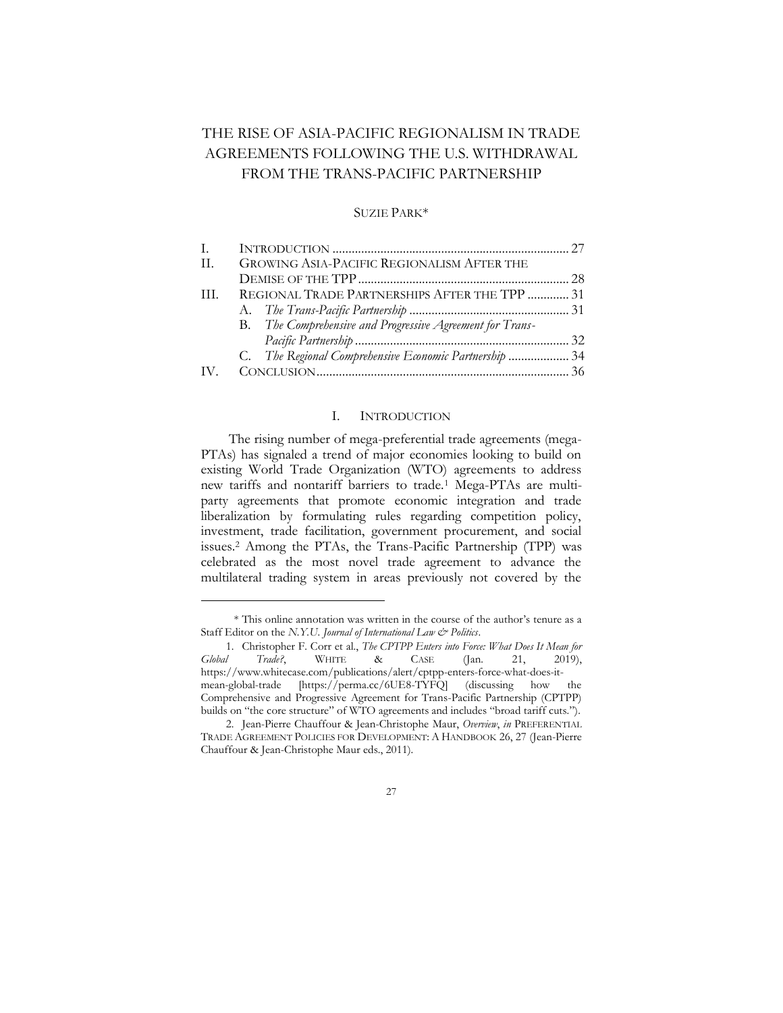# THE RISE OF ASIA-PACIFIC REGIONALISM IN TRADE AGREEMENTS FOLLOWING THE U.S. WITHDRAWAL FROM THE TRANS-PACIFIC PARTNERSHIP

## SUZIE PARK\*

| I.  |                                                           |  |
|-----|-----------------------------------------------------------|--|
| H.  | GROWING ASIA-PACIFIC REGIONALISM AFTER THE                |  |
|     |                                                           |  |
| TH. | REGIONAL TRADE PARTNERSHIPS AFTER THE TPP  31             |  |
|     |                                                           |  |
|     | B. The Comprehensive and Progressive Agreement for Trans- |  |
|     |                                                           |  |
|     | C. The Regional Comprehensive Economic Partnership  34    |  |
|     |                                                           |  |

# I. INTRODUCTION

<span id="page-0-0"></span>The rising number of mega-preferential trade agreements (mega-PTAs) has signaled a trend of major economies looking to build on existing World Trade Organization (WTO) agreements to address new tariffs and nontariff barriers to trade.<sup>1</sup> Mega-PTAs are multiparty agreements that promote economic integration and trade liberalization by formulating rules regarding competition policy, investment, trade facilitation, government procurement, and social issues.<sup>2</sup> Among the PTAs, the Trans-Pacific Partnership (TPP) was celebrated as the most novel trade agreement to advance the multilateral trading system in areas previously not covered by the

<sup>\*</sup> This online annotation was written in the course of the author's tenure as a Staff Editor on the *N.Y.U. Journal of International Law & Politics*.

<sup>1.</sup> Christopher F. Corr et al., *The CPTPP Enters into Force: What Does It Mean for It Trade?*, WHITE & CASE (Jan. 21, 2019), *Global Trade?*, WHITE & CASE (Jan. 21, 2019), https://www.whitecase.com/publications/alert/cptpp-enters-force-what-does-itmean-global-trade [https://perma.cc/6UE8-TYFQ] (discussing how the Comprehensive and Progressive Agreement for Trans-Pacific Partnership (CPTPP) builds on "the core structure" of WTO agreements and includes "broad tariff cuts.").

<sup>2.</sup> Jean-Pierre Chauffour & Jean-Christophe Maur, *Overview*, *in* PREFERENTIAL TRADE AGREEMENT POLICIES FOR DEVELOPMENT: A HANDBOOK 26, 27 (Jean-Pierre Chauffour & Jean-Christophe Maur eds., 2011).

<sup>27</sup>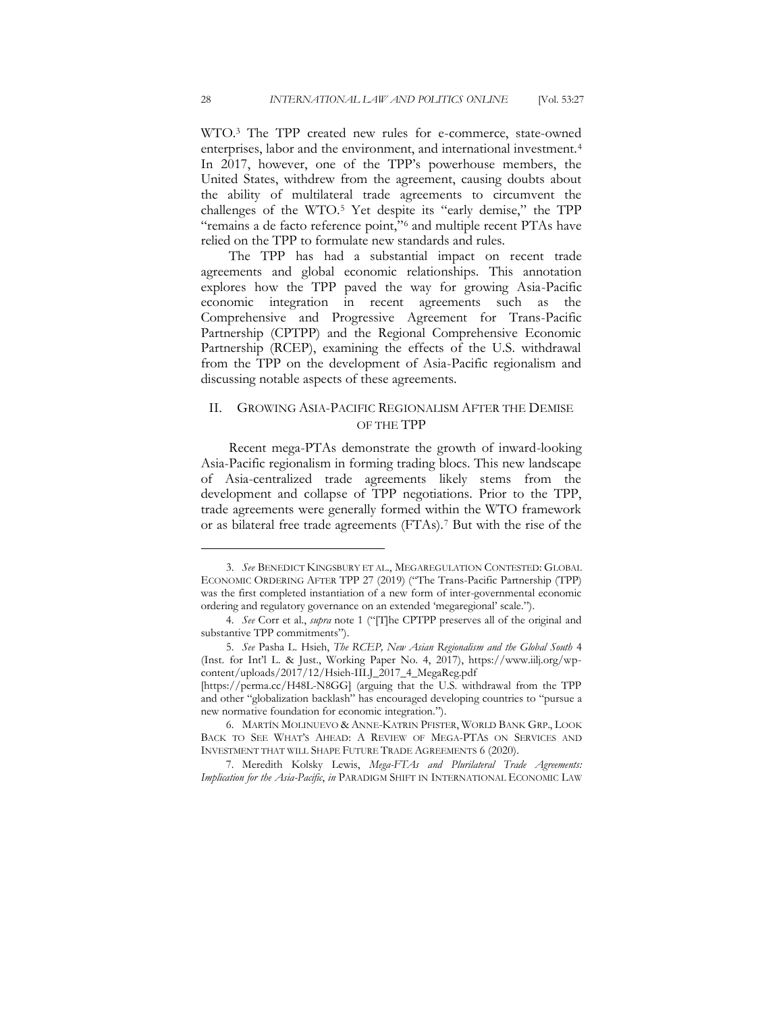WTO.<sup>3</sup> The TPP created new rules for e-commerce, state-owned enterprises, labor and the environment, and international investment.<sup>4</sup> In 2017, however, one of the TPP's powerhouse members, the United States, withdrew from the agreement, causing doubts about the ability of multilateral trade agreements to circumvent the challenges of the WTO.<sup>5</sup> Yet despite its "early demise," the TPP "remains a de facto reference point,"<sup>6</sup> and multiple recent PTAs have relied on the TPP to formulate new standards and rules.

The TPP has had a substantial impact on recent trade agreements and global economic relationships. This annotation explores how the TPP paved the way for growing Asia-Pacific economic integration in recent agreements such as the Comprehensive and Progressive Agreement for Trans-Pacific Partnership (CPTPP) and the Regional Comprehensive Economic Partnership (RCEP), examining the effects of the U.S. withdrawal from the TPP on the development of Asia-Pacific regionalism and discussing notable aspects of these agreements.

# <span id="page-1-0"></span>II. GROWING ASIA-PACIFIC REGIONALISM AFTER THE DEMISE OF THE TPP

Recent mega-PTAs demonstrate the growth of inward-looking Asia-Pacific regionalism in forming trading blocs. This new landscape of Asia-centralized trade agreements likely stems from the development and collapse of TPP negotiations. Prior to the TPP, trade agreements were generally formed within the WTO framework or as bilateral free trade agreements (FTAs).<sup>7</sup> But with the rise of the

<sup>3.</sup> *See* BENEDICT KINGSBURY ET AL., MEGAREGULATION CONTESTED: GLOBAL ECONOMIC ORDERING AFTER TPP 27 (2019) ("The Trans-Pacific Partnership (TPP) was the first completed instantiation of a new form of inter-governmental economic ordering and regulatory governance on an extended 'megaregional' scale.").

<sup>4.</sup> *See* Corr et al., *supra* note 1 ("[T]he CPTPP preserves all of the original and substantive TPP commitments").

<sup>5.</sup> *See* Pasha L. Hsieh, *The RCEP, New Asian Regionalism and the Global South* 4 (Inst. for Int'l L. & Just., Working Paper No. 4, 2017), https://www.iilj.org/wpcontent/uploads/2017/12/Hsieh-IILJ\_2017\_4\_MegaReg.pdf

<sup>[</sup>https://perma.cc/H48L-N8GG] (arguing that the U.S. withdrawal from the TPP and other "globalization backlash" has encouraged developing countries to "pursue a new normative foundation for economic integration.").

<sup>6.</sup> MARTÍN MOLINUEVO & ANNE-KATRIN PFISTER, WORLD BANK GRP., LOOK BACK TO SEE WHAT'S AHEAD: A REVIEW OF MEGA-PTAS ON SERVICES AND INVESTMENT THAT WILL SHAPE FUTURE TRADE AGREEMENTS 6 (2020).

<sup>7.</sup> Meredith Kolsky Lewis, *Mega-FTAs and Plurilateral Trade Agreements: Implication for the Asia-Pacific*, *in* PARADIGM SHIFT IN INTERNATIONAL ECONOMIC LAW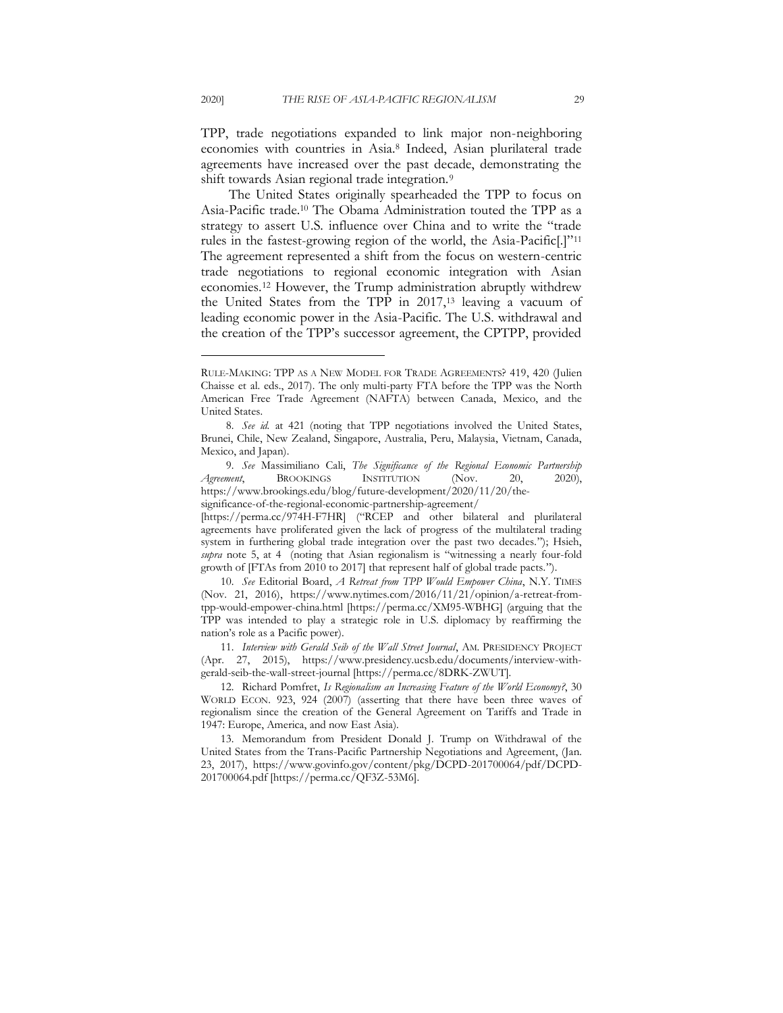TPP, trade negotiations expanded to link major non-neighboring economies with countries in Asia.<sup>8</sup> Indeed, Asian plurilateral trade agreements have increased over the past decade, demonstrating the shift towards Asian regional trade integration.<sup>9</sup>

The United States originally spearheaded the TPP to focus on Asia-Pacific trade.<sup>10</sup> The Obama Administration touted the TPP as a strategy to assert U.S. influence over China and to write the "trade rules in the fastest-growing region of the world, the Asia-Pacific[.]"<sup>11</sup> The agreement represented a shift from the focus on western-centric trade negotiations to regional economic integration with Asian economies.<sup>12</sup> However, the Trump administration abruptly withdrew the United States from the TPP in 2017,<sup>13</sup> leaving a vacuum of leading economic power in the Asia-Pacific. The U.S. withdrawal and the creation of the TPP's successor agreement, the CPTPP, provided

10. *See* Editorial Board, *A Retreat from TPP Would Empower China*, N.Y. TIMES (Nov. 21, 2016), https://www.nytimes.com/2016/11/21/opinion/a-retreat-fromtpp-would-empower-china.html [https://perma.cc/XM95-WBHG] (arguing that the TPP was intended to play a strategic role in U.S. diplomacy by reaffirming the nation's role as a Pacific power).

11. *Interview with Gerald Seib of the Wall Street Journal*, AM. PRESIDENCY PROJECT (Apr. 27, 2015), https://www.presidency.ucsb.edu/documents/interview-withgerald-seib-the-wall-street-journal [https://perma.cc/8DRK-ZWUT].

12. Richard Pomfret, *Is Regionalism an Increasing Feature of the World Economy?*, 30 WORLD ECON. 923, 924 (2007) (asserting that there have been three waves of regionalism since the creation of the General Agreement on Tariffs and Trade in 1947: Europe, America, and now East Asia).

13. Memorandum from President Donald J. Trump on Withdrawal of the United States from the Trans-Pacific Partnership Negotiations and Agreement, (Jan. 23, 2017), https://www.govinfo.gov/content/pkg/DCPD-201700064/pdf/DCPD-201700064.pdf [https://perma.cc/QF3Z-53M6].

RULE-MAKING: TPP AS A NEW MODEL FOR TRADE AGREEMENTS? 419, 420 (Julien Chaisse et al. eds., 2017). The only multi-party FTA before the TPP was the North American Free Trade Agreement (NAFTA) between Canada, Mexico, and the United States.

<sup>8.</sup> *See id.* at 421 (noting that TPP negotiations involved the United States, Brunei, Chile, New Zealand, Singapore, Australia, Peru, Malaysia, Vietnam, Canada, Mexico, and Japan).

<sup>9.</sup> *See* Massimiliano Cali, *The Significance of the Regional Economic Partnership Agreement*, BROOKINGS INSTITUTION (Nov. 20, 2020), https://www.brookings.edu/blog/future-development/2020/11/20/thesignificance-of-the-regional-economic-partnership-agreement/

<sup>[</sup>https://perma.cc/974H-F7HR] ("RCEP and other bilateral and plurilateral agreements have proliferated given the lack of progress of the multilateral trading system in furthering global trade integration over the past two decades."); Hsieh, *supra* note 5, at 4 (noting that Asian regionalism is "witnessing a nearly four-fold growth of [FTAs from 2010 to 2017] that represent half of global trade pacts.").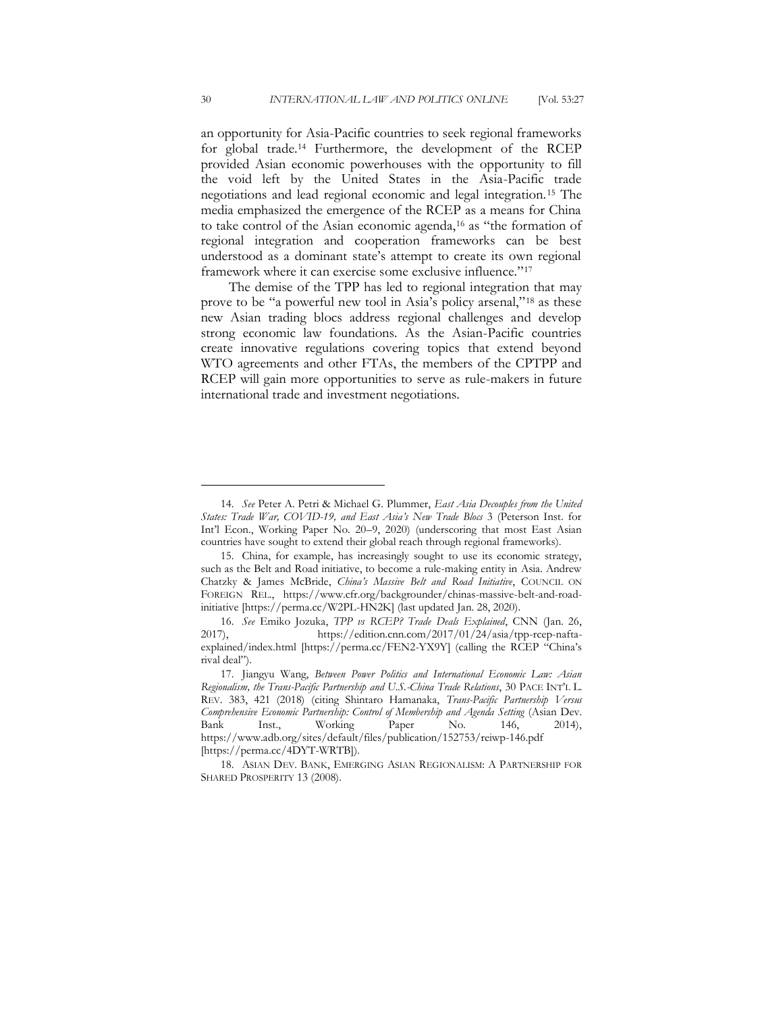an opportunity for Asia-Pacific countries to seek regional frameworks for global trade.<sup>14</sup> Furthermore, the development of the RCEP provided Asian economic powerhouses with the opportunity to fill the void left by the United States in the Asia-Pacific trade negotiations and lead regional economic and legal integration.<sup>15</sup> The media emphasized the emergence of the RCEP as a means for China to take control of the Asian economic agenda,<sup>16</sup> as "the formation of regional integration and cooperation frameworks can be best understood as a dominant state's attempt to create its own regional framework where it can exercise some exclusive influence."<sup>17</sup>

The demise of the TPP has led to regional integration that may prove to be "a powerful new tool in Asia's policy arsenal,"<sup>18</sup> as these new Asian trading blocs address regional challenges and develop strong economic law foundations. As the Asian-Pacific countries create innovative regulations covering topics that extend beyond WTO agreements and other FTAs, the members of the CPTPP and RCEP will gain more opportunities to serve as rule-makers in future international trade and investment negotiations.

<sup>14.</sup> *See* Peter A. Petri & Michael G. Plummer, *East Asia Decouples from the United States: Trade War, COVID-19, and East Asia's New Trade Blocs* 3 (Peterson Inst. for Int'l Econ., Working Paper No. 20–9, 2020) (underscoring that most East Asian countries have sought to extend their global reach through regional frameworks).

<sup>15.</sup> China, for example, has increasingly sought to use its economic strategy, such as the Belt and Road initiative, to become a rule-making entity in Asia. Andrew Chatzky & James McBride, *China's Massive Belt and Road Initiative*, COUNCIL ON FOREIGN REL., https://www.cfr.org/backgrounder/chinas-massive-belt-and-roadinitiative [https://perma.cc/W2PL-HN2K] (last updated Jan. 28, 2020).

<sup>16.</sup> *See* Emiko Jozuka, *TPP vs RCEP? Trade Deals Explained*, CNN (Jan. 26, 2017), https://edition.cnn.com/2017/01/24/asia/tpp-rcep-naftaexplained/index.html [https://perma.cc/FEN2-YX9Y] (calling the RCEP "China's rival deal").

<sup>17.</sup> Jiangyu Wang, *Between Power Politics and International Economic Law: Asian Regionalism, the Trans-Pacific Partnership and U.S.-China Trade Relations*, 30 PACE INT'L L. REV. 383, 421 (2018) (citing Shintaro Hamanaka, *Trans-Pacific Partnership Versus Comprehensive Economic Partnership: Control of Membership and Agenda Setting* (Asian Dev. Bank Inst., Working Paper No. 146, 2014), https://www.adb.org/sites/default/files/publication/152753/reiwp-146.pdf [https://perma.cc/4DYT-WRTB]).

<sup>18.</sup> ASIAN DEV. BANK, EMERGING ASIAN REGIONALISM: A PARTNERSHIP FOR SHARED PROSPERITY 13 (2008).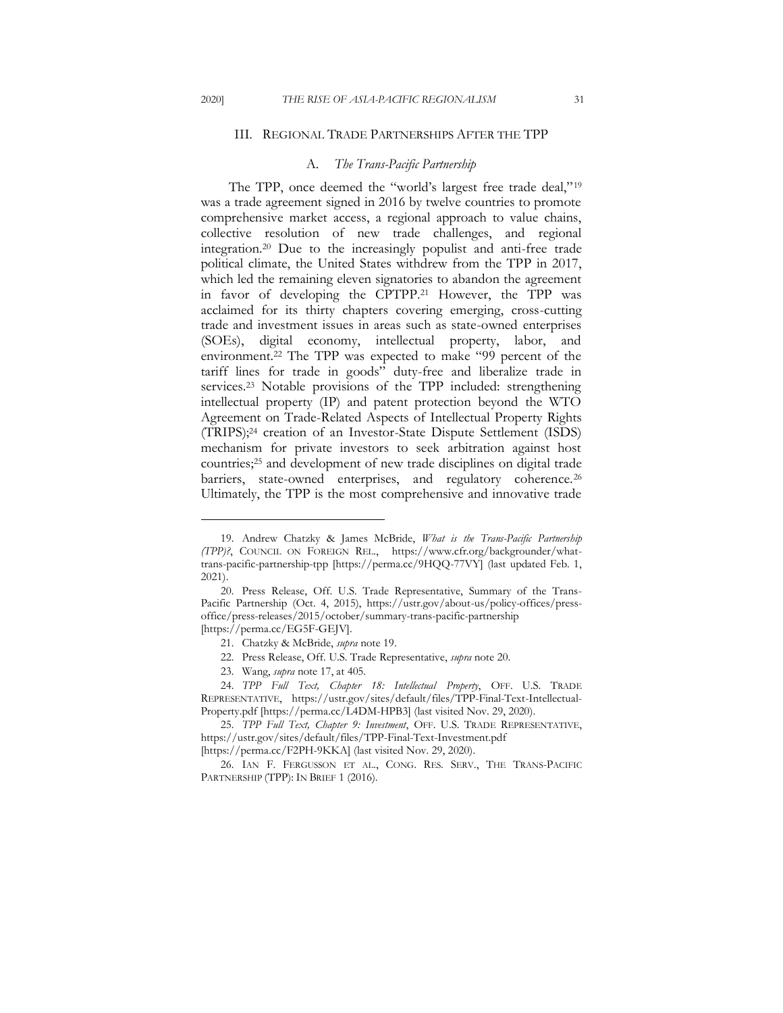#### <span id="page-4-0"></span>III. REGIONAL TRADE PARTNERSHIPS AFTER THE TPP

## A. *The Trans-Pacific Partnership*

<span id="page-4-1"></span>The TPP, once deemed the "world's largest free trade deal,"<sup>19</sup> was a trade agreement signed in 2016 by twelve countries to promote comprehensive market access, a regional approach to value chains, collective resolution of new trade challenges, and regional integration.<sup>20</sup> Due to the increasingly populist and anti-free trade political climate, the United States withdrew from the TPP in 2017, which led the remaining eleven signatories to abandon the agreement in favor of developing the CPTPP.<sup>21</sup> However, the TPP was acclaimed for its thirty chapters covering emerging, cross-cutting trade and investment issues in areas such as state-owned enterprises (SOEs), digital economy, intellectual property, labor, and environment.<sup>22</sup> The TPP was expected to make "99 percent of the tariff lines for trade in goods" duty-free and liberalize trade in services.<sup>23</sup> Notable provisions of the TPP included: strengthening intellectual property (IP) and patent protection beyond the WTO Agreement on Trade-Related Aspects of Intellectual Property Rights (TRIPS);<sup>24</sup> creation of an Investor-State Dispute Settlement (ISDS) mechanism for private investors to seek arbitration against host countries;<sup>25</sup> and development of new trade disciplines on digital trade barriers, state-owned enterprises, and regulatory coherence.<sup>26</sup> Ultimately, the TPP is the most comprehensive and innovative trade

<sup>19.</sup> Andrew Chatzky & James McBride, *What is the Trans-Pacific Partnership (TPP)?*, COUNCIL ON FOREIGN REL., https://www.cfr.org/backgrounder/whattrans-pacific-partnership-tpp [https://perma.cc/9HQQ-77VY] (last updated Feb. 1, 2021).

<sup>20.</sup> Press Release, Off. U.S. Trade Representative, Summary of the Trans-Pacific Partnership (Oct. 4, 2015), https://ustr.gov/about-us/policy-offices/pressoffice/press-releases/2015/october/summary-trans-pacific-partnership [https://perma.cc/EG5F-GEJV].

<sup>21.</sup> Chatzky & McBride, *supra* note 19.

<sup>22.</sup> Press Release, Off. U.S. Trade Representative, *supra* note 20.

<sup>23.</sup> Wang, *supra* note 17, at 405.

<sup>24.</sup> *TPP Full Text, Chapter 18: Intellectual Property*, OFF. U.S. TRADE REPRESENTATIVE, https://ustr.gov/sites/default/files/TPP-Final-Text-Intellectual-Property.pdf [https://perma.cc/L4DM-HPB3] (last visited Nov. 29, 2020).

<sup>25.</sup> *TPP Full Text, Chapter 9: Investment*, OFF. U.S. TRADE REPRESENTATIVE, https://ustr.gov/sites/default/files/TPP-Final-Text-Investment.pdf

<sup>[</sup>https://perma.cc/F2PH-9KKA] (last visited Nov. 29, 2020).

<sup>26.</sup> IAN F. FERGUSSON ET AL., CONG. RES. SERV., THE TRANS-PACIFIC PARTNERSHIP (TPP): IN BRIEF 1 (2016).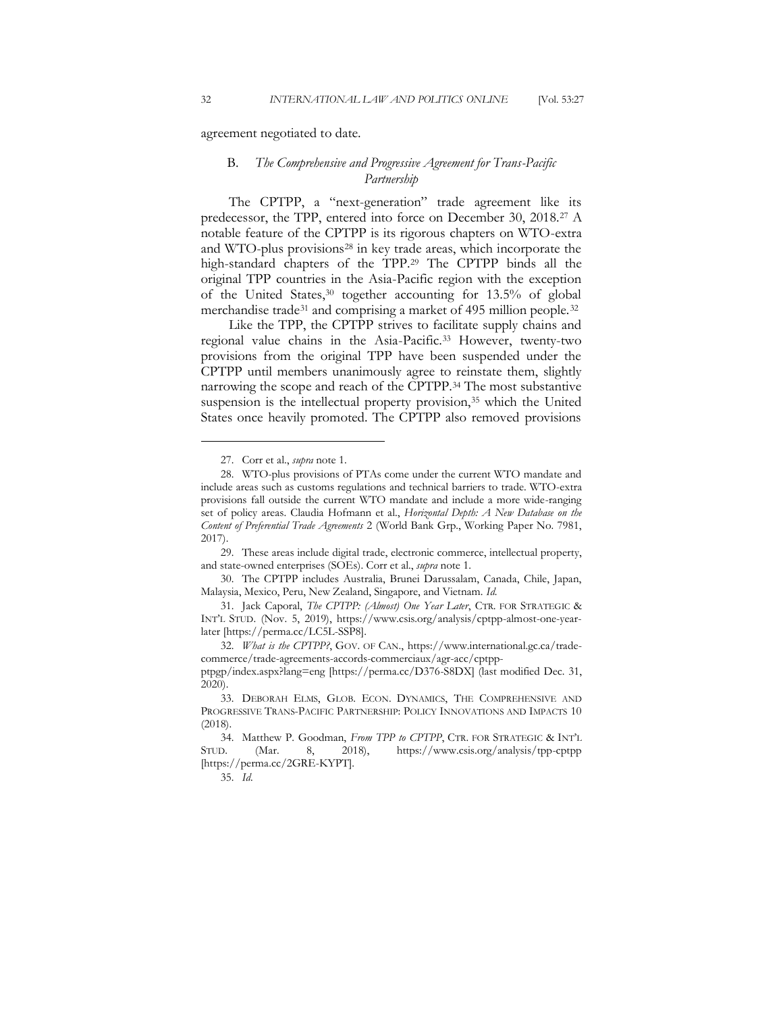<span id="page-5-0"></span>agreement negotiated to date.

# B. *The Comprehensive and Progressive Agreement for Trans-Pacific Partnership*

The CPTPP, a "next-generation" trade agreement like its predecessor, the TPP, entered into force on December 30, 2018.<sup>27</sup> A notable feature of the CPTPP is its rigorous chapters on WTO-extra and WTO-plus provisions<sup>28</sup> in key trade areas, which incorporate the high-standard chapters of the TPP.<sup>29</sup> The CPTPP binds all the original TPP countries in the Asia-Pacific region with the exception of the United States,<sup>30</sup> together accounting for 13.5% of global merchandise trade<sup>31</sup> and comprising a market of 495 million people.<sup>32</sup>

Like the TPP, the CPTPP strives to facilitate supply chains and regional value chains in the Asia-Pacific.<sup>33</sup> However, twenty-two provisions from the original TPP have been suspended under the CPTPP until members unanimously agree to reinstate them, slightly narrowing the scope and reach of the CPTPP.<sup>34</sup> The most substantive suspension is the intellectual property provision,<sup>35</sup> which the United States once heavily promoted. The CPTPP also removed provisions

30. The CPTPP includes Australia, Brunei Darussalam, Canada, Chile, Japan, Malaysia, Mexico, Peru, New Zealand, Singapore, and Vietnam. *Id.* 

ptpgp/index.aspx?lang=eng [https://perma.cc/D376-S8DX] (last modified Dec. 31, 2020).

<sup>27.</sup> Corr et al., *supra* note 1.

<sup>28.</sup> WTO-plus provisions of PTAs come under the current WTO mandate and include areas such as customs regulations and technical barriers to trade. WTO-extra provisions fall outside the current WTO mandate and include a more wide-ranging set of policy areas. Claudia Hofmann et al., *Horizontal Depth: A New Database on the Content of Preferential Trade Agreements* 2 (World Bank Grp., Working Paper No. 7981, 2017).

<sup>29.</sup> These areas include digital trade, electronic commerce, intellectual property, and state-owned enterprises (SOEs). Corr et al., *supra* note 1.

<sup>31.</sup> Jack Caporal, *The CPTPP: (Almost) One Year Later*, CTR. FOR STRATEGIC & INT'L STUD. (Nov. 5, 2019), https://www.csis.org/analysis/cptpp-almost-one-yearlater [https://perma.cc/LC5L-SSP8].

<sup>32.</sup> *What is the CPTPP?*, GOV. OF CAN., https://www.international.gc.ca/tradecommerce/trade-agreements-accords-commerciaux/agr-acc/cptpp-

<sup>33.</sup> DEBORAH ELMS, GLOB. ECON. DYNAMICS, THE COMPREHENSIVE AND PROGRESSIVE TRANS-PACIFIC PARTNERSHIP: POLICY INNOVATIONS AND IMPACTS 10 (2018).

<sup>34.</sup> Matthew P. Goodman, *From TPP to CPTPP*, CTR. FOR STRATEGIC & INT'L STUD. (Mar. 8, 2018), https://www.csis.org/analysis/tpp-cptpp [https://perma.cc/2GRE-KYPT].

<sup>35.</sup> *Id.*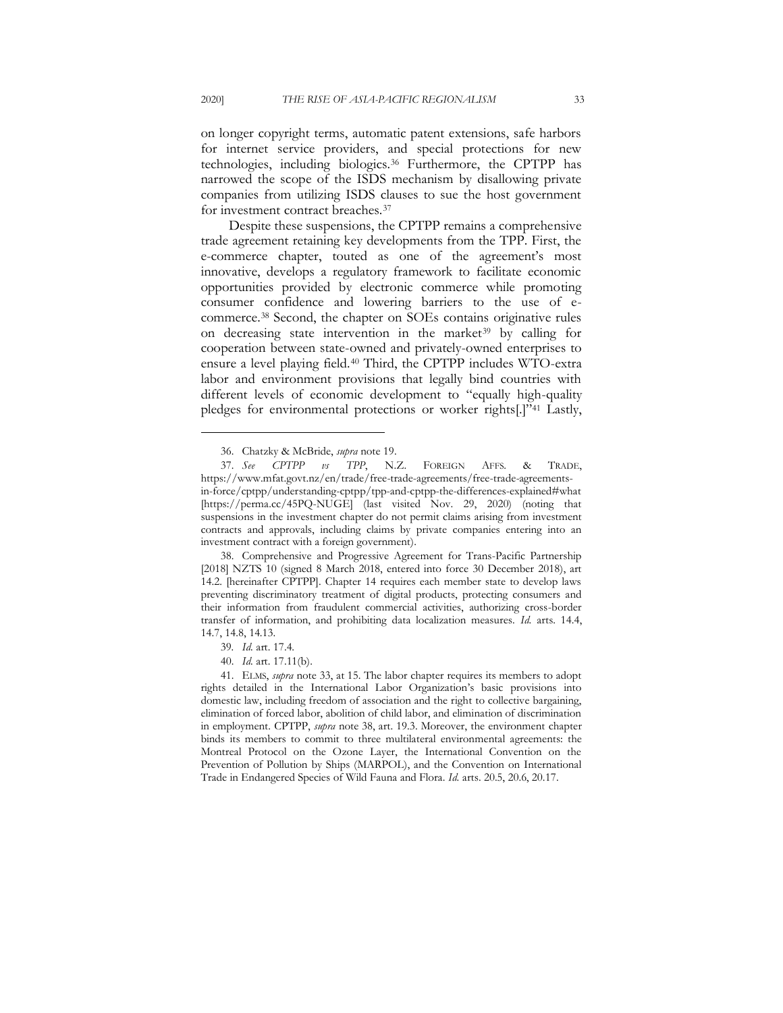on longer copyright terms, automatic patent extensions, safe harbors for internet service providers, and special protections for new technologies, including biologics.<sup>36</sup> Furthermore, the CPTPP has narrowed the scope of the ISDS mechanism by disallowing private companies from utilizing ISDS clauses to sue the host government for investment contract breaches.<sup>37</sup>

Despite these suspensions, the CPTPP remains a comprehensive trade agreement retaining key developments from the TPP. First, the e-commerce chapter, touted as one of the agreement's most innovative, develops a regulatory framework to facilitate economic opportunities provided by electronic commerce while promoting consumer confidence and lowering barriers to the use of ecommerce.<sup>38</sup> Second, the chapter on SOEs contains originative rules on decreasing state intervention in the market<sup>39</sup> by calling for cooperation between state-owned and privately-owned enterprises to ensure a level playing field.<sup>40</sup> Third, the CPTPP includes WTO-extra labor and environment provisions that legally bind countries with different levels of economic development to "equally high-quality pledges for environmental protections or worker rights[.]"<sup>41</sup> Lastly,

38. Comprehensive and Progressive Agreement for Trans-Pacific Partnership [2018] NZTS 10 (signed 8 March 2018, entered into force 30 December 2018), art 14.2. [hereinafter CPTPP]. Chapter 14 requires each member state to develop laws preventing discriminatory treatment of digital products, protecting consumers and their information from fraudulent commercial activities, authorizing cross-border transfer of information, and prohibiting data localization measures. *Id.* arts. 14.4, 14.7, 14.8, 14.13.

41. ELMS, *supra* note 33, at 15. The labor chapter requires its members to adopt rights detailed in the International Labor Organization's basic provisions into domestic law, including freedom of association and the right to collective bargaining, elimination of forced labor, abolition of child labor, and elimination of discrimination in employment. CPTPP, *supra* note 38, art. 19.3. Moreover, the environment chapter binds its members to commit to three multilateral environmental agreements: the Montreal Protocol on the Ozone Layer, the International Convention on the Prevention of Pollution by Ships (MARPOL), and the Convention on International Trade in Endangered Species of Wild Fauna and Flora. *Id.* arts. 20.5, 20.6, 20.17.

<sup>36.</sup> Chatzky & McBride, *supra* note 19.

<sup>37.</sup> *See CPTPP vs TPP*, N.Z. FOREIGN AFFS. & TRADE, https://www.mfat.govt.nz/en/trade/free-trade-agreements/free-trade-agreementsin-force/cptpp/understanding-cptpp/tpp-and-cptpp-the-differences-explained#what [https://perma.cc/45PQ-NUGE] (last visited Nov. 29, 2020) (noting that suspensions in the investment chapter do not permit claims arising from investment contracts and approvals, including claims by private companies entering into an investment contract with a foreign government).

<sup>39</sup>*. Id.* art. 17.4.

<sup>40.</sup> *Id.* art. 17.11(b).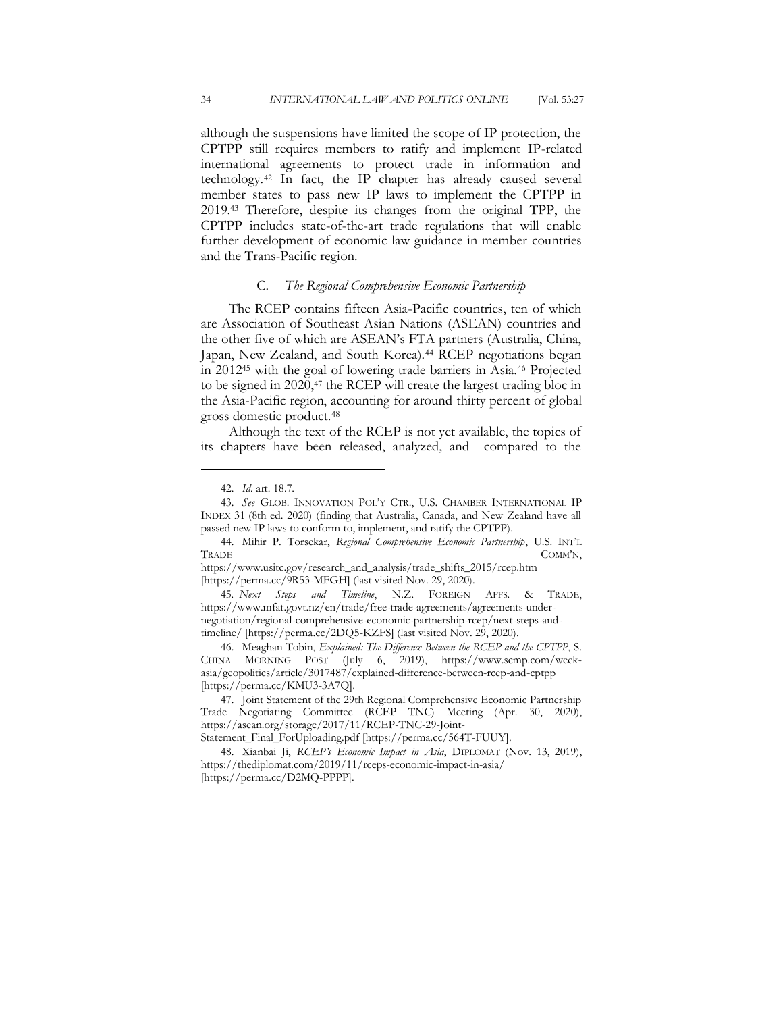although the suspensions have limited the scope of IP protection, the CPTPP still requires members to ratify and implement IP-related international agreements to protect trade in information and technology.<sup>42</sup> In fact, the IP chapter has already caused several member states to pass new IP laws to implement the CPTPP in 2019.<sup>43</sup> Therefore, despite its changes from the original TPP, the CPTPP includes state-of-the-art trade regulations that will enable further development of economic law guidance in member countries and the Trans-Pacific region.

## C. *The Regional Comprehensive Economic Partnership*

<span id="page-7-0"></span>The RCEP contains fifteen Asia-Pacific countries, ten of which are Association of Southeast Asian Nations (ASEAN) countries and the other five of which are ASEAN's FTA partners (Australia, China, Japan, New Zealand, and South Korea).<sup>44</sup> RCEP negotiations began in 2012<sup>45</sup> with the goal of lowering trade barriers in Asia.<sup>46</sup> Projected to be signed in 2020,<sup>47</sup> the RCEP will create the largest trading bloc in the Asia-Pacific region, accounting for around thirty percent of global gross domestic product.<sup>48</sup>

Although the text of the RCEP is not yet available, the topics of its chapters have been released, analyzed, and compared to the

<sup>42.</sup> *Id.* art. 18.7.

<sup>43.</sup> *See* GLOB. INNOVATION POL'Y CTR., U.S. CHAMBER INTERNATIONAL IP INDEX 31 (8th ed. 2020) (finding that Australia, Canada, and New Zealand have all passed new IP laws to conform to, implement, and ratify the CPTPP).

<sup>44.</sup> Mihir P. Torsekar, *Regional Comprehensive Economic Partnership*, U.S. INT'L TRADE COMM'N,

https://www.usitc.gov/research\_and\_analysis/trade\_shifts\_2015/rcep.htm [https://perma.cc/9R53-MFGH] (last visited Nov. 29, 2020).

<sup>45</sup>*. Next Steps and Timeline*, N.Z. FOREIGN AFFS. & TRADE, https://www.mfat.govt.nz/en/trade/free-trade-agreements/agreements-undernegotiation/regional-comprehensive-economic-partnership-rcep/next-steps-andtimeline/ [https://perma.cc/2DQ5-KZFS] (last visited Nov. 29, 2020).

<sup>46.</sup> Meaghan Tobin, *Explained: The Difference Between the RCEP and the CPTPP*, S. CHINA MORNING POST (July 6, 2019), https://www.scmp.com/weekasia/geopolitics/article/3017487/explained-difference-between-rcep-and-cptpp [https://perma.cc/KMU3-3A7Q].

<sup>47.</sup> Joint Statement of the 29th Regional Comprehensive Economic Partnership Trade Negotiating Committee (RCEP TNC) Meeting (Apr. 30, 2020), https://asean.org/storage/2017/11/RCEP-TNC-29-Joint-

Statement\_Final\_ForUploading.pdf [https://perma.cc/564T-FUUY].

<sup>48.</sup> Xianbai Ji, *RCEP's Economic Impact in Asia*, DIPLOMAT (Nov. 13, 2019), https://thediplomat.com/2019/11/rceps-economic-impact-in-asia/ [https://perma.cc/D2MQ-PPPP].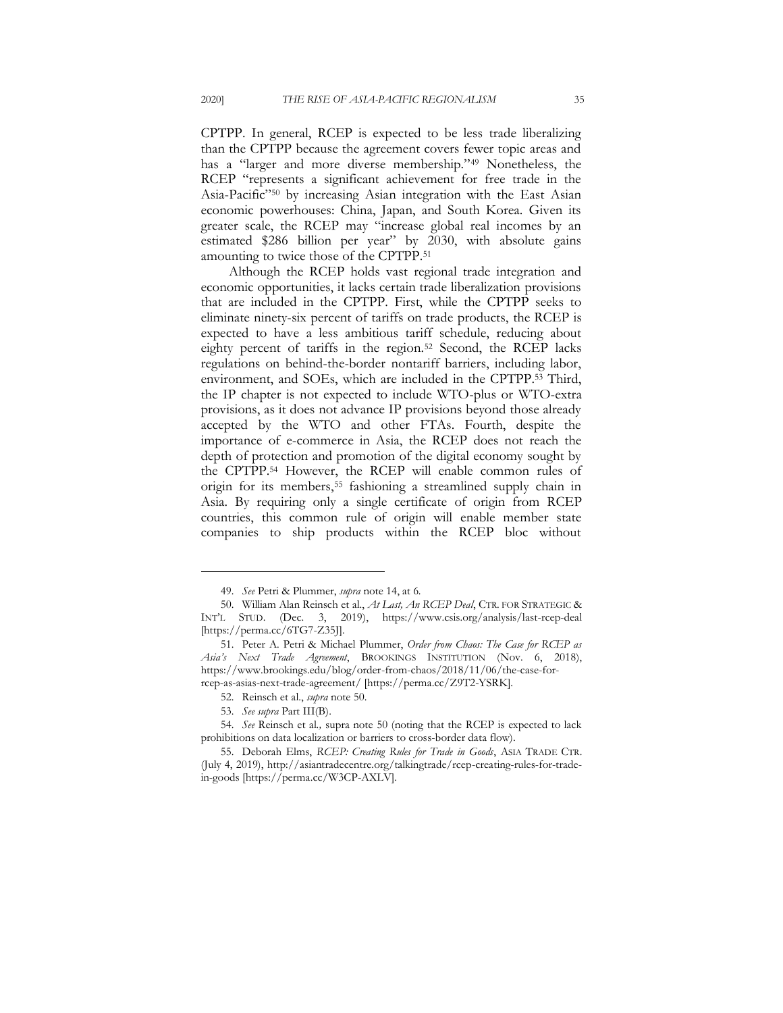CPTPP. In general, RCEP is expected to be less trade liberalizing than the CPTPP because the agreement covers fewer topic areas and has a "larger and more diverse membership."<sup>49</sup> Nonetheless, the RCEP "represents a significant achievement for free trade in the Asia-Pacific"<sup>50</sup> by increasing Asian integration with the East Asian economic powerhouses: China, Japan, and South Korea. Given its greater scale, the RCEP may "increase global real incomes by an estimated \$286 billion per year" by 2030, with absolute gains amounting to twice those of the CPTPP.<sup>51</sup>

Although the RCEP holds vast regional trade integration and economic opportunities, it lacks certain trade liberalization provisions that are included in the CPTPP. First, while the CPTPP seeks to eliminate ninety-six percent of tariffs on trade products, the RCEP is expected to have a less ambitious tariff schedule, reducing about eighty percent of tariffs in the region.<sup>52</sup> Second, the RCEP lacks regulations on behind-the-border nontariff barriers, including labor, environment, and SOEs, which are included in the CPTPP.<sup>53</sup> Third, the IP chapter is not expected to include WTO-plus or WTO-extra provisions, as it does not advance IP provisions beyond those already accepted by the WTO and other FTAs. Fourth, despite the importance of e-commerce in Asia, the RCEP does not reach the depth of protection and promotion of the digital economy sought by the CPTPP.<sup>54</sup> However, the RCEP will enable common rules of origin for its members,<sup>55</sup> fashioning a streamlined supply chain in Asia. By requiring only a single certificate of origin from RCEP countries, this common rule of origin will enable member state companies to ship products within the RCEP bloc without

<sup>49.</sup> *See* Petri & Plummer, *supra* note 14, at 6.

<sup>50.</sup> William Alan Reinsch et al., *At Last, An RCEP Deal*, CTR. FOR STRATEGIC & INT'L STUD. (Dec. 3, 2019), https://www.csis.org/analysis/last-rcep-deal [https://perma.cc/6TG7-Z35J].

<sup>51.</sup> Peter A. Petri & Michael Plummer, *Order from Chaos: The Case for RCEP as Asia's Next Trade Agreement*, BROOKINGS INSTITUTION (Nov. 6, 2018), https://www.brookings.edu/blog/order-from-chaos/2018/11/06/the-case-forrcep-as-asias-next-trade-agreement/ [https://perma.cc/Z9T2-YSRK].

<sup>52.</sup> Reinsch et al., *supra* note 50.

<sup>53.</sup> *See supra* Part III(B).

<sup>54.</sup> *See* Reinsch et al*.,* supra note 50 (noting that the RCEP is expected to lack prohibitions on data localization or barriers to cross-border data flow).

<sup>55.</sup> Deborah Elms, *RCEP: Creating Rules for Trade in Goods*, ASIA TRADE CTR. (July 4, 2019), http://asiantradecentre.org/talkingtrade/rcep-creating-rules-for-tradein-goods [https://perma.cc/W3CP-AXLV].